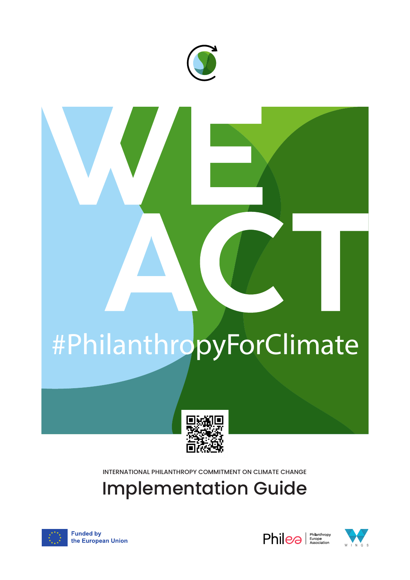

# #PhilanthropyForClimate



INTERNATIONAL PHILANTHROPY COMMITMENT ON CLIMATE CHANGE

Implementation Guide



**Funded by** the European Union



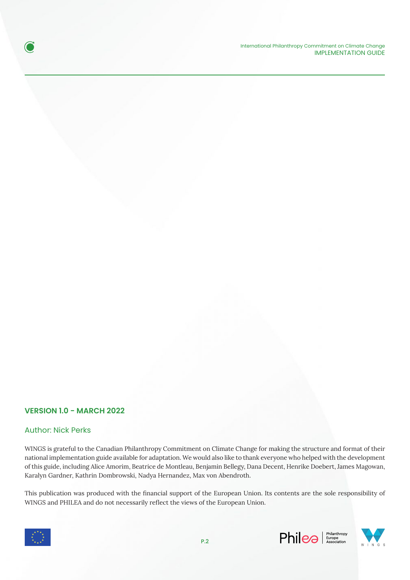International Philanthropy Commitment on Climate Change IMPLEMENTATION GUIDE

# **VERSION 1.0 - MARCH 2022**

# Author: Nick Perks

O

WINGS is grateful to the Canadian Philanthropy Commitment on Climate Change for making the structure and format of their national implementation guide available for adaptation. We would also like to thank everyone who helped with the development of this guide, including Alice Amorim, Beatrice de Montleau, Benjamin Bellegy, Dana Decent, Henrike Doebert, James Magowan, Karalyn Gardner, Kathrin Dombrowski, Nadya Hernandez, Max von Abendroth.

This publication was produced with the financial support of the European Union. Its contents are the sole responsibility of WINGS and PHILEA and do not necessarily reflect the views of the European Union.





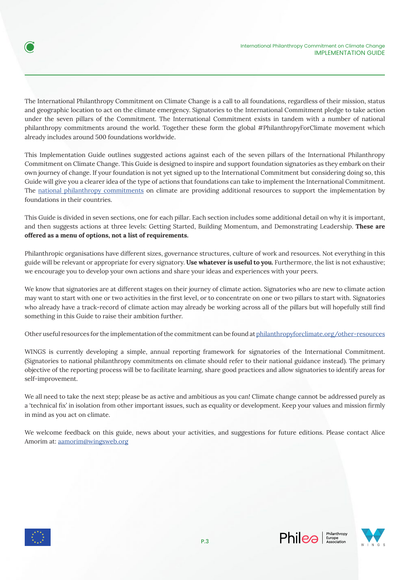

The International Philanthropy Commitment on Climate Change is a call to all foundations, regardless of their mission, status and geographic location to act on the climate emergency. Signatories to the International Commitment pledge to take action under the seven pillars of the Commitment. The International Commitment exists in tandem with a number of national philanthropy commitments around the world. Together these form the global #PhilanthropyForClimate movement which already includes around 500 foundations worldwide.

This Implementation Guide outlines suggested actions against each of the seven pillars of the International Philanthropy Commitment on Climate Change. This Guide is designed to inspire and support foundation signatories as they embark on their own journey of change. If your foundation is not yet signed up to the International Commitment but considering doing so, this Guide will give you a clearer idea of the type of actions that foundations can take to implement the International Commitment. The national philanthropy commitments on climate are providing additional resources to support the implementation by foundations in their countries.

This Guide is divided in seven sections, one for each pillar. Each section includes some additional detail on why it is important, and then suggests actions at three levels: Getting Started, Building Momentum, and Demonstrating Leadership. **These are offered as a menu of options, not a list of requirements.** 

Philanthropic organisations have different sizes, governance structures, culture of work and resources. Not everything in this guide will be relevant or appropriate for every signatory. **Use whatever is useful to you.** Furthermore, the list is not exhaustive; we encourage you to develop your own actions and share your ideas and experiences with your peers.

We know that signatories are at different stages on their journey of climate action. Signatories who are new to climate action may want to start with one or two activities in the first level, or to concentrate on one or two pillars to start with. Signatories who already have a track-record of climate action may already be working across all of the pillars but will hopefully still find something in this Guide to raise their ambition further.

Other useful resources for the implementation of the commitment can be found at philanthropyforclimate.org/other-resources

WINGS is currently developing a simple, annual reporting framework for signatories of the International Commitment. (Signatories to national philanthropy commitments on climate should refer to their national guidance instead). The primary objective of the reporting process will be to facilitate learning, share good practices and allow signatories to identify areas for self-improvement.

We all need to take the next step; please be as active and ambitious as you can! Climate change cannot be addressed purely as a 'technical fix' in isolation from other important issues, such as equality or development. Keep your values and mission firmly in mind as you act on climate.

We welcome feedback on this guide, news about your activities, and suggestions for future editions. Please contact Alice Amorim at: aamorim@wingsweb.org





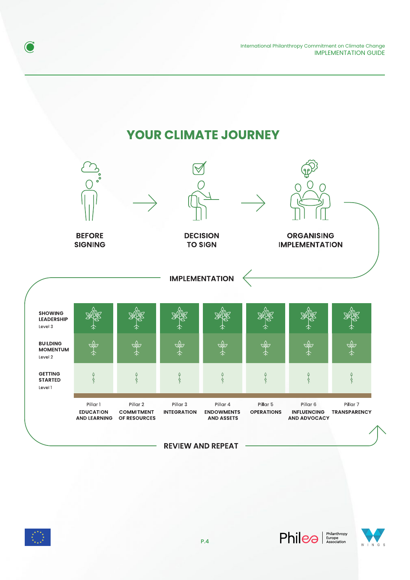International Philanthropy Commitment on Climate Change IMPLEMENTATION GUIDE

# **YOUR CLIMATE JOURNEY**





O

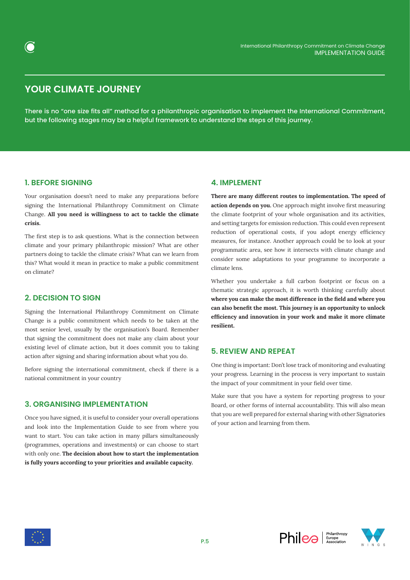

# **YOUR CLIMATE JOURNEY**

There is no "one size fits all" method for a philanthropic organisation to implement the International Commitment, but the following stages may be a helpful framework to understand the steps of this journey.

# **1. BEFORE SIGNING**

Your organisation doesn't need to make any preparations before signing the International Philanthropy Commitment on Climate Change. **All you need is willingness to act to tackle the climate crisis.**

The first step is to ask questions. What is the connection between climate and your primary philanthropic mission? What are other partners doing to tackle the climate crisis? What can we learn from this? What would it mean in practice to make a public commitment on climate?

# **2. DECISION TO SIGN**

Signing the International Philanthropy Commitment on Climate Change is a public commitment which needs to be taken at the most senior level, usually by the organisation's Board. Remember that signing the commitment does not make any claim about your existing level of climate action, but it does commit you to taking action after signing and sharing information about what you do.

Before signing the international commitment, check if there is a national commitment in your country

# **3. ORGANISING IMPLEMENTATION**

Once you have signed, it is useful to consider your overall operations and look into the Implementation Guide to see from where you want to start. You can take action in many pillars simultaneously (programmes, operations and investments) or can choose to start with only one. **The decision about how to start the implementation is fully yours according to your priorities and available capacity.**

# **4. IMPLEMENT**

**There are many different routes to implementation. The speed of action depends on you.** One approach might involve first measuring the climate footprint of your whole organisation and its activities, and setting targets for emission reduction. This could even represent reduction of operational costs, if you adopt energy efficiency measures, for instance. Another approach could be to look at your programmatic area, see how it intersects with climate change and consider some adaptations to your programme to incorporate a climate lens.

Whether you undertake a full carbon footprint or focus on a thematic strategic approach, it is worth thinking carefully about **where you can make the most difference in the field and where you can also benefit the most. This journey is an opportunity to unlock efficiency and innovation in your work and make it more climate resilient.**

# **5. REVIEW AND REPEAT**

One thing is important: Don't lose track of monitoring and evaluating your progress. Learning in the process is very important to sustain the impact of your commitment in your field over time.

Make sure that you have a system for reporting progress to your Board, or other forms of internal accountability. This will also mean that you are well prepared for external sharing with other Signatories of your action and learning from them.





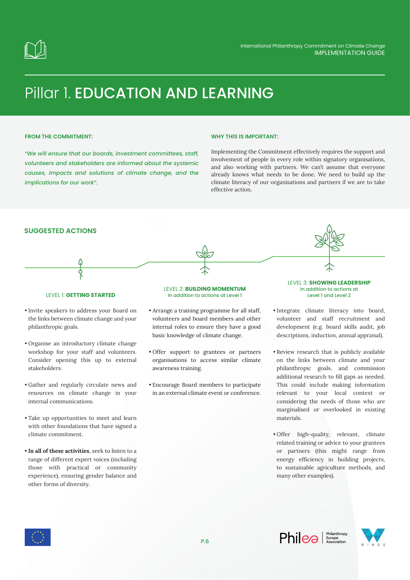

# Pillar 1. EDUCATION AND LEARNING

## **FROM THE COMMITMENT:**

*"We will ensure that our boards, investment committees, staff, volunteers and stakeholders are informed about the systemic causes, impacts and solutions of climate change, and the implications for our work".*

### **WHY THIS IS IMPORTANT:**

Implementing the Commitment effectively requires the support and involvement of people in every role within signatory organisations, and also working with partners. We can't assume that everyone already knows what needs to be done. We need to build up the climate literacy of our organisations and partners if we are to take effective action.

# **SUGGESTED ACTIONS**



### LEVEL 1: **GETTING STARTED**

- Invite speakers to address your Board on the links between climate change and your philanthropic goals.
- Organise an introductory climate change workshop for your staff and volunteers. Consider opening this up to external stakeholders.
- Gather and regularly circulate news and resources on climate change in your internal communications.
- Take up opportunities to meet and learn with other foundations that have signed a climate commitment.
- **• In all of these activities**, seek to listen to a range of different expert voices (including those with practical or community experience), ensuring gender balance and other forms of diversity.

#### LEVEL 2: **BUILDING MOMENTUM** In addition to actions at Level 1

- Arrange a training programme for all staff, volunteers and board members and other internal roles to ensure they have a good basic knowledge of climate change.
- Offer support to grantees or partners organisations to access similar climate awareness training.
- Encourage Board members to participate in an external climate event or conference.

LEVEL 3: **SHOWING LEADERSHIP** In addition to actions at Level 1 and Level 2

- Integrate climate literacy into board, volunteer and staff recruitment and development (e.g. board skills audit, job descriptions, induction, annual appraisal).
- Review research that is publicly available on the links between climate and your philanthropic goals, and commission additional research to fill gaps as needed. This could include making information relevant to your local context or considering the needs of those who are marginalised or overlooked in existing materials.
- Offer high-quality, relevant, climate related training or advice to your grantees or partners (this might range from energy efficiency in building projects, to sustainable agriculture methods, and many other examples).





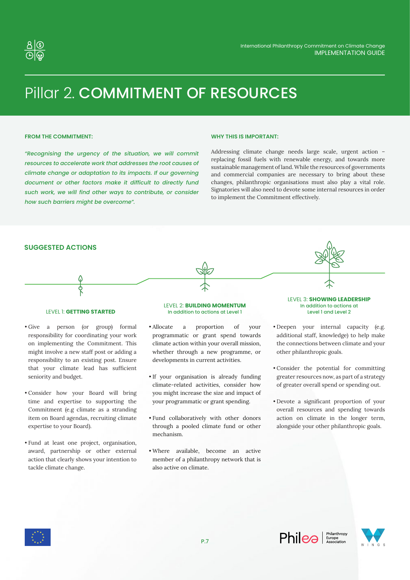

# Pillar 2. COMMITMENT OF RESOURCES

## **FROM THE COMMITMENT:**

*"Recognising the urgency of the situation, we will commit resources to accelerate work that addresses the root causes of climate change or adaptation to its impacts. If our governing document or other factors make it difficult to directly fund such work, we will find other ways to contribute, or consider how such barriers might be overcome".*

#### **WHY THIS IS IMPORTANT:**

Addressing climate change needs large scale, urgent action – replacing fossil fuels with renewable energy, and towards more sustainable management of land. While the resources of governments and commercial companies are necessary to bring about these changes, philanthropic organisations must also play a vital role. Signatories will also need to devote some internal resources in order to implement the Commitment effectively.



- Give a person (or group) formal responsibility for coordinating your work on implementing the Commitment. This might involve a new staff post or adding a responsibility to an existing post. Ensure that your climate lead has sufficient seniority and budget.
- Consider how your Board will bring time and expertise to supporting the Commitment (e.g climate as a stranding item on Board agendas, recruiting climate expertise to your Board).
- Fund at least one project, organisation, award, partnership or other external action that clearly shows your intention to tackle climate change.

# In addition to actions at Level 1

- Allocate a proportion of your programmatic or grant spend towards climate action within your overall mission, whether through a new programme, or developments in current activities.
- If your organisation is already funding climate-related activities, consider how you might increase the size and impact of your programmatic or grant spending.
- Fund collaboratively with other donors through a pooled climate fund or other mechanism.
- Where available, become an active member of a philanthropy network that is also active on climate.

Level 1 and Level 2 • Deepen your internal capacity (e.g.

- additional staff, knowledge) to help make the connections between climate and your other philanthropic goals.
- Consider the potential for committing greater resources now, as part of a strategy of greater overall spend or spending out.
- Devote a significant proportion of your overall resources and spending towards action on climate in the longer term, alongside your other philanthropic goals.



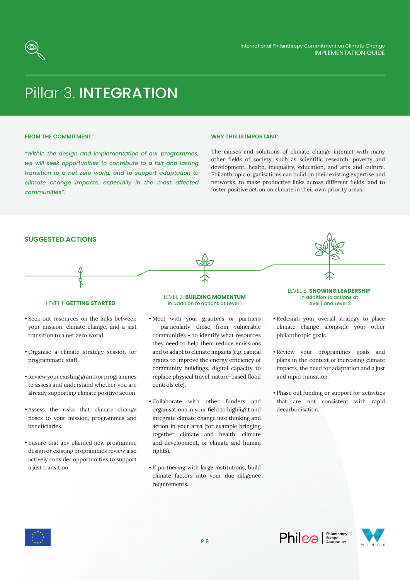

# Pillar 3. INTEGRATION

### **FROM THE COMMITMENT:**

*"Within the design and implementation of our programmes, we will seek opportunities to contribute to a fair and lasting transition to a net zero world, and to support adaptation to climate change impacts, especially in the most affected communities".*

### **WHY THIS IS IMPORTANT:**

The causes and solutions of climate change interact with many other fields of society, such as scientific research, poverty and development, health, inequality, education, and arts and culture. Philanthropic organisations can build on their existing expertise and networks, to make productive links across different fields, and to foster positive action on climate in their own priority areas.

# **SUGGESTED ACTIONS**



#### LEVEL 1: **GETTING STARTED**

- Seek out resources on the links between your mission, climate change, and a just transition to a net zero world.
- Organise a climate strategy session for programmatic staff.
- Review your existing grants or programmes to assess and understand whether you are already supporting climate positive action.
- Assess the risks that climate change poses to your mission, programmes and beneficiaries.
- Ensure that any planned new programme design or existing programmes review also actively consider opportunities to support a just transition.

#### LEVEL 2: **BUILDING MOMENTUM** In addition to actions at Level 1

- Meet with your grantees or partners particularly those from vulnerable communities - to identify what resources they need to help them reduce emissions and to adapt to climate impacts (e.g. capital grants to improve the energy efficiency of community buildings, digital capacity to replace physical travel, nature-based flood controls etc).
- Collaborate with other funders and organisations in your field to highlight and integrate climate change into thinking and action in your area (for example bringing together climate and health, climate and development, or climate and human rights).
- If partnering with large institutions, build climate factors into your due diligence requirements.

LEVEL 3: **SHOWING LEADERSHIP** In addition to actions at Level 1 and Level 2

- Redesign your overall strategy to place climate change alongside your other philanthropic goals.
- Review your programmes goals and plans in the context of increasing climate impacts, the need for adaptation and a just and rapid transition.
- Phase out funding or support for activities that are not consistent with rapid decarbonisation.



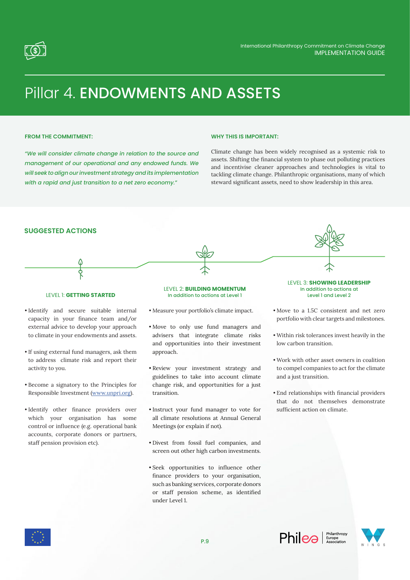

# Pillar 4. ENDOWMENTS AND ASSETS

# **FROM THE COMMITMENT:**

*"We will consider climate change in relation to the source and management of our operational and any endowed funds. We will seek to align our investment strategy and its implementation with a rapid and just transition to a net zero economy."*

### **WHY THIS IS IMPORTANT:**

Climate change has been widely recognised as a systemic risk to assets. Shifting the financial system to phase out polluting practices and incentivise cleaner approaches and technologies is vital to tackling climate change. Philanthropic organisations, many of which steward significant assets, need to show leadership in this area.



- Divest from fossil fuel companies, and screen out other high carbon investments.
- Seek opportunities to influence other finance providers to your organisation, such as banking services, corporate donors or staff pension scheme, as identified under Level 1.

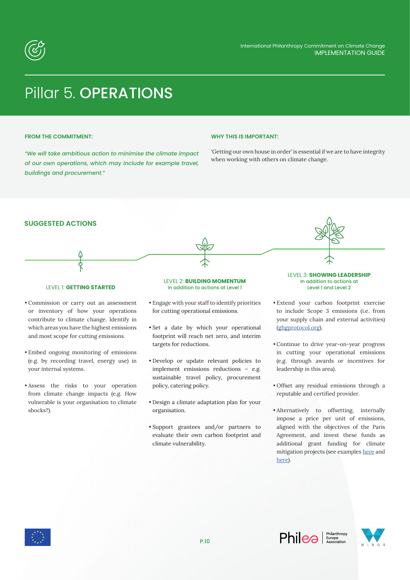

# Pillar 5. OPERATIONS

# **FROM THE COMMITMENT:**

*"We will take ambitious action to minimise the climate impact of our own operations, which may include for example travel, buildings and procurement."*

### **WHY THIS IS IMPORTANT:**

'Getting our own house in order' is essential if we are to have integrity when working with others on climate change.





#### LEVEL 1: **GETTING STARTED**

- Commission or carry out an assessment or inventory of how your operations contribute to climate change. Identify in which areas you have the highest emissions and most scope for cutting emissions.
- Embed ongoing monitoring of emissions (e.g. by recording travel, energy use) in your internal systems.
- Assess the risks to your operation from climate change impacts (e.g. How vulnerable is your organisation to climate shocks?).

#### LEVEL 2: **BUILDING MOMENTUM** In addition to actions at Level 1

- Engage with your staff to identify priorities for cutting operational emissions.
- Set a date by which your operational footprint will reach net zero, and interim targets for reductions.
- Develop or update relevant policies to implement emissions reductions – e.g. sustainable travel policy, procurement policy, catering policy.
- Design a climate adaptation plan for your organisation.
- Support grantees and/or partners to evaluate their own carbon footprint and climate vulnerability.

In addition to actions at Level 1 and Level 2

- Extend your carbon footprint exercise to include Scope 3 emissions (i.e. from your supply chain and external activities) (ghgprotocol.org).
- Continue to drive year-on-year progress in cutting your operational emissions (e,g. through awards or incentives for leadership in this area).
- Offset any residual emissions through a reputable and certified provider.
- Alternatively to offsetting, internally impose a price per unit of emissions, aligned with the objectives of the Paris Agreement, and invest these funds as additional grant funding for climate mitigation projects (see examples here and here).



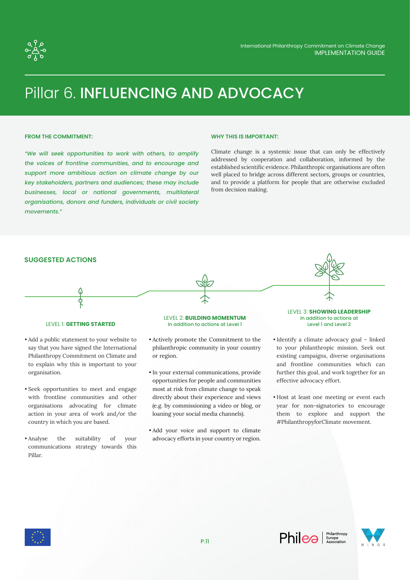

# Pillar 6. INFLUENCING AND ADVOCACY

### **FROM THE COMMITMENT:**

*"We will seek opportunities to work with others, to amplify the voices of frontline communities, and to encourage and support more ambitious action on climate change by our key stakeholders, partners and audiences; these may include businesses, local or national governments, multilateral organisations, donors and funders, individuals or civil society movements."*

#### **WHY THIS IS IMPORTANT:**

Climate change is a systemic issue that can only be effectively addressed by cooperation and collaboration, informed by the established scientific evidence. Philanthropic organisations are often well placed to bridge across different sectors, groups or countries, and to provide a platform for people that are otherwise excluded from decision making.



## LEVEL 1: **GETTING STARTED**

- Add a public statement to your website to say that you have signed the International Philanthropy Commitment on Climate and to explain why this is important to your organisation.
- Seek opportunities to meet and engage with frontline communities and other organisations advocating for climate action in your area of work and/or the country in which you are based.
- Analyse the suitability of your communications strategy towards this Pillar.

### LEVEL 2: **BUILDING MOMENTUM** In addition to actions at Level 1

- Actively promote the Commitment to the philanthropic community in your country or region.
- In your external communications, provide opportunities for people and communities most at risk from climate change to speak directly about their experience and views (e.g. by commissioning a video or blog, or loaning your social media channels).
- Add your voice and support to climate advocacy efforts in your country or region.

LEVEL 3: **SHOWING LEADERSHIP** In addition to actions at Level 1 and Level 2

- Identify a climate advocacy goal linked to your philanthropic mission. Seek out existing campaigns, diverse organisations and frontline communities which can further this goal, and work together for an effective advocacy effort.
- Host at least one meeting or event each year for non-signatories to encourage them to explore and support the #PhilanthropyforClimate movement.